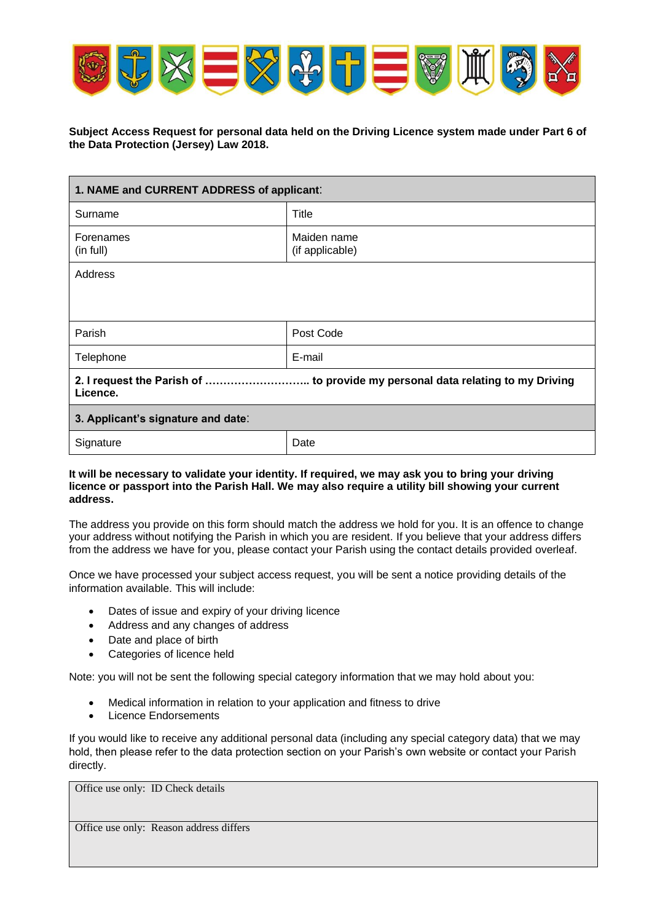

## **Subject Access Request for personal data held on the Driving Licence system made under Part 6 of the Data Protection (Jersey) Law 2018.**

| 1. NAME and CURRENT ADDRESS of applicant:                                                  |                                |  |
|--------------------------------------------------------------------------------------------|--------------------------------|--|
| Surname                                                                                    | Title                          |  |
| Forenames<br>(in full)                                                                     | Maiden name<br>(if applicable) |  |
| Address                                                                                    |                                |  |
| Parish                                                                                     | Post Code                      |  |
| Telephone                                                                                  | E-mail                         |  |
| 2. I request the Parish of  to provide my personal data relating to my Driving<br>Licence. |                                |  |
| 3. Applicant's signature and date:                                                         |                                |  |
| Signature                                                                                  | Date                           |  |

## **It will be necessary to validate your identity. If required, we may ask you to bring your driving licence or passport into the Parish Hall. We may also require a utility bill showing your current address.**

The address you provide on this form should match the address we hold for you. It is an offence to change your address without notifying the Parish in which you are resident. If you believe that your address differs from the address we have for you, please contact your Parish using the contact details provided overleaf.

Once we have processed your subject access request, you will be sent a notice providing details of the information available. This will include:

- Dates of issue and expiry of your driving licence
- Address and any changes of address
- Date and place of birth
- Categories of licence held

Note: you will not be sent the following special category information that we may hold about you:

- Medical information in relation to your application and fitness to drive
- Licence Endorsements

If you would like to receive any additional personal data (including any special category data) that we may hold, then please refer to the data protection section on your Parish's own website or contact your Parish directly.

Office use only: ID Check details

Office use only: Reason address differs